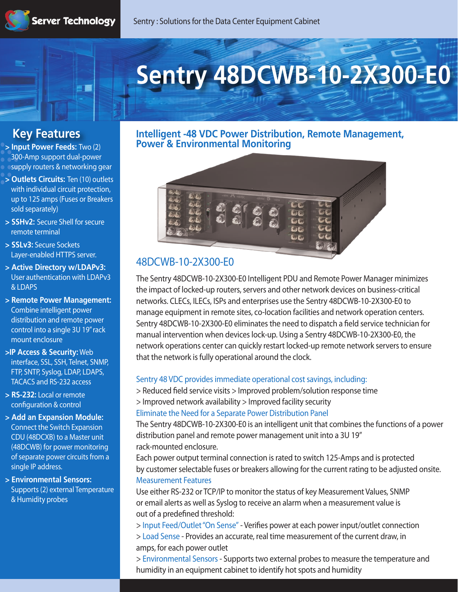# **Sentry 48DCWB-10-2X300-E0**

# **Key Features**

**> Input Power Feeds:** Two (2) 300-Amp support dual-power supply routers & networking gear

- **> Outlets Circuits:** Ten (10) outlets with individual circuit protection, up to 125 amps (Fuses or Breakers sold separately)
- **> SSHv2:** Secure Shell for secure remote terminal
- **> SSLv3:** Secure Sockets Layer-enabled HTTPS server.
- **> Active Directory w/LDAPv3:**  User authentication with LDAPv3 & LDAPS
- **> Remote Power Management:** Combine intelligent power distribution and remote power control into a single 3U 19" rack mount enclosure
- **>IP Access & Security:** Web interface, SSL, SSH, Telnet, SNMP, FTP, SNTP, Syslog, LDAP, LDAPS, TACACS and RS-232 access
- **> RS-232:** Local or remote configuration & control
- **> Add an Expansion Module:**  Connect the Switch Expansion CDU (48DCXB) to a Master unit (48DCWB) for power monitoring of separate power circuits from a single IP address.
- **> Environmental Sensors:**  Supports (2) external Temperature & Humidity probes

### **Intelligent -48 VDC Power Distribution, Remote Management, Power & Environmental Monitoring**



# **48DCWB-10-2X300-E0**

The Sentry 48DCWB-10-2X300-E0 Intelligent PDU and Remote Power Manager minimizes the impact of locked-up routers, servers and other network devices on business-critical networks. CLECs, ILECs, ISPs and enterprises use the Sentry 48DCWB-10-2X300-E0 to manage equipment in remote sites, co-location facilities and network operation centers. Sentry 48DCWB-10-2X300-E0 eliminates the need to dispatch a field service technician for manual intervention when devices lock-up. Using a Sentry 48DCWB-10-2X300-E0, the network operations center can quickly restart locked-up remote network servers to ensure that the network is fully operational around the clock.

#### **Sentry 48 VDC provides immediate operational cost savings, including:**

> Reduced field service visits > Improved problem/solution response time > Improved network availability > Improved facility security **Eliminate the Need for a Separate Power Distribution Panel**

The Sentry 48DCWB-10-2X300-E0 is an intelligent unit that combines the functions of a power distribution panel and remote power management unit into a 3U 19" rack-mounted enclosure.

Each power output terminal connection is rated to switch 125-Amps and is protected by customer selectable fuses or breakers allowing for the current rating to be adjusted onsite. **Measurement Features**

Use either RS-232 or TCP/IP to monitor the status of key Measurement Values, SNMP or email alerts as well as Syslog to receive an alarm when a measurement value is out of a predefined threshold:

> **Input Feed/Outlet "On Sense"** - Veries power at each power input/outlet connection > **Load Sense** - Provides an accurate, real time measurement of the current draw, in amps, for each power outlet

> **Environmental Sensors** - Supports two external probes to measure the temperature and humidity in an equipment cabinet to identify hot spots and humidity